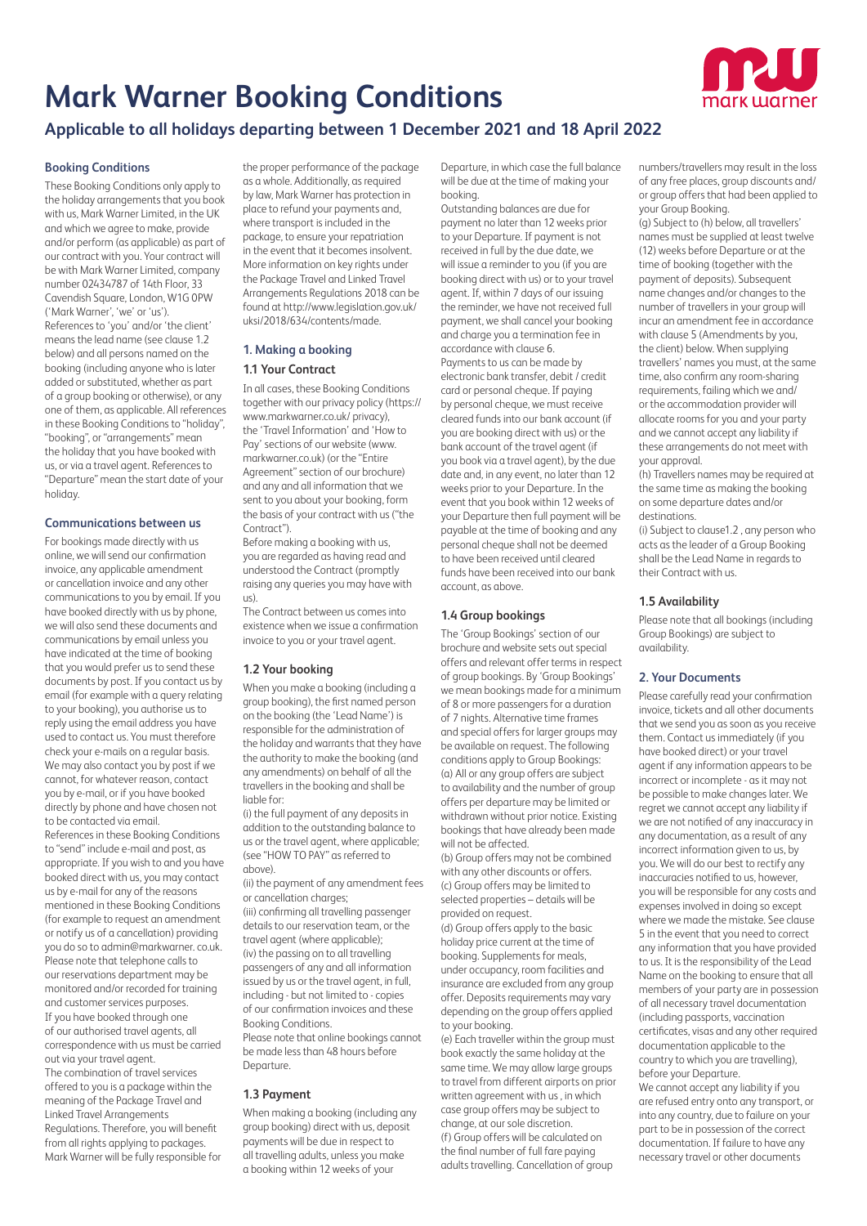# **Mark Warner Booking Conditions**



# **Applicable to all holidays departing between 1 December 2021 and 18 April 2022**

### **Booking Conditions**

These Booking Conditions only apply to the holiday arrangements that you book with us, Mark Warner Limited, in the UK and which we agree to make, provide and/or perform (as applicable) as part of our contract with you. Your contract will be with Mark Warner Limited, company number 02434787 of 14th Floor, 33 Cavendish Square, London, W1G 0PW ('Mark Warner', 'we' or 'us'). References to 'you' and/or 'the client' means the lead name (see clause 1.2 below) and all persons named on the booking (including anyone who is later added or substituted, whether as part of a group booking or otherwise), or any one of them, as applicable. All references in these Booking Conditions to "holiday", "booking", or "arrangements" mean the holiday that you have booked with us, or via a travel agent. References to "Departure" mean the start date of your holiday.

## **Communications between us**

For bookings made directly with us online, we will send our confirmation invoice, any applicable amendment or cancellation invoice and any other communications to you by email. If you have booked directly with us by phone, we will also send these documents and communications by email unless you have indicated at the time of booking that you would prefer us to send these documents by post. If you contact us by email (for example with a query relating to your booking), you authorise us to reply using the email address you have used to contact us. You must therefore check your e-mails on a regular basis. We may also contact you by post if we cannot, for whatever reason, contact you by e-mail, or if you have booked directly by phone and have chosen not to be contacted via email. References in these Booking Conditions to "send" include e-mail and post, as appropriate. If you wish to and you have booked direct with us, you may contact us by e-mail for any of the reasons mentioned in these Booking Conditions (for example to request an amendment or notify us of a cancellation) providing you do so to admin@markwarner. co.uk. Please note that telephone calls to our reservations department may be monitored and/or recorded for training and customer services purposes. If you have booked through one of our authorised travel agents, all correspondence with us must be carried out via your travel agent. The combination of travel services offered to you is a package within the meaning of the Package Travel and Linked Travel Arrangements Regulations. Therefore, you will benefit from all rights applying to packages. Mark Warner will be fully responsible for

the proper performance of the package as a whole. Additionally, as required by law, Mark Warner has protection in place to refund your payments and, where transport is included in the package, to ensure your repatriation in the event that it becomes insolvent. More information on key rights under the Package Travel and Linked Travel Arrangements Regulations 2018 can be found at http://www.legislation.gov.uk/ uksi/2018/634/contents/made.

# **1. Making a booking**

#### **1.1 Your Contract**

In all cases, these Booking Conditions together with our privacy policy (https:// www.markwarner.co.uk/ privacy), the 'Travel Information' and 'How to Pay' sections of our website (www. markwarner.co.uk) (or the "Entire Agreement" section of our brochure) and any and all information that we sent to you about your booking, form the basis of your contract with us ("the Contract").

Before making a booking with us, you are regarded as having read and understood the Contract (promptly raising any queries you may have with us).

The Contract between us comes into existence when we issue a confirmation invoice to you or your travel agent.

#### **1.2 Your booking**

When you make a booking (including a group booking), the first named person on the booking (the 'Lead Name') is responsible for the administration of the holiday and warrants that they have the authority to make the booking (and any amendments) on behalf of all the travellers in the booking and shall be liable for:

(i) the full payment of any deposits in addition to the outstanding balance to us or the travel agent, where applicable; (see "HOW TO PAY" as referred to above).

(ii) the payment of any amendment fees or cancellation charges;

(iii) confirming all travelling passenger details to our reservation team, or the travel agent (where applicable); (iv) the passing on to all travelling passengers of any and all information issued by us or the travel agent, in full, including - but not limited to - copies of our confirmation invoices and these Booking Conditions.

Please note that online bookings cannot be made less than 48 hours before Departure.

#### **1.3 Payment**

When makina a booking (including any group booking) direct with us, deposit payments will be due in respect to all travelling adults, unless you make a booking within 12 weeks of your

Departure, in which case the full balance will be due at the time of making your booking.

Outstanding balances are due for payment no later than 12 weeks prior to your Departure. If payment is not received in full by the due date, we will issue a reminder to you (if you are booking direct with us) or to your travel agent. If, within 7 days of our issuing the reminder, we have not received full payment, we shall cancel your booking and charge you a termination fee in accordance with clause 6. Payments to us can be made by electronic bank transfer, debit / credit card or personal cheque. If paying by personal cheque, we must receive cleared funds into our bank account (if you are booking direct with us) or the bank account of the travel agent (if you book via a travel agent), by the due date and, in any event, no later than 12 weeks prior to your Departure. In the event that you book within 12 weeks of your Departure then full payment will be payable at the time of booking and any personal cheque shall not be deemed to have been received until cleared funds have been received into our bank account, as above.

# **1.4 Group bookings**

The 'Group Bookings' section of our brochure and website sets out special offers and relevant offer terms in respect of group bookings. By 'Group Bookings' we mean bookings made for a minimum of 8 or more passengers for a duration of 7 nights. Alternative time frames and special offers for larger groups may be available on request. The following conditions apply to Group Bookings: (a) All or any group offers are subject to availability and the number of group offers per departure may be limited or withdrawn without prior notice. Existing bookings that have already been made will not be affected.

(b) Group offers may not be combined with any other discounts or offers. (c) Group offers may be limited to selected properties – details will be provided on request.

(d) Group offers apply to the basic holiday price current at the time of booking. Supplements for meals, under occupancy, room facilities and insurance are excluded from any group offer. Deposits requirements may vary depending on the group offers applied to your booking.

(e) Each traveller within the group must book exactly the same holiday at the same time. We may allow large groups to travel from different airports on prior written agreement with us , in which case group offers may be subject to change, at our sole discretion. (f) Group offers will be calculated on the final number of full fare paying adults travelling. Cancellation of group

numbers/travellers may result in the loss of any free places, group discounts and/ or group offers that had been applied to your Group Booking.

(g) Subject to (h) below, all travellers' names must be supplied at least twelve (12) weeks before Departure or at the time of booking (together with the payment of deposits). Subsequent name changes and/or changes to the number of travellers in your group will incur an amendment fee in accordance with clause 5 (Amendments by you, the client) below. When supplying travellers' names you must, at the same time, also confirm any room-sharing requirements, failing which we and/ or the accommodation provider will allocate rooms for you and your party and we cannot accept any liability if these arrangements do not meet with your approval.

(h) Travellers names may be required at the same time as making the booking on some departure dates and/or destinations.

(i) Subject to clause1.2 , any person who acts as the leader of a Group Booking shall be the Lead Name in regards to their Contract with us.

### **1.5 Availability**

Please note that all bookings (including Group Bookings) are subject to availability.

#### **2. Your Documents**

Please carefully read your confirmation invoice, tickets and all other documents that we send you as soon as you receive them. Contact us immediately (if you have booked direct) or your travel agent if any information appears to be incorrect or incomplete - as it may not be possible to make changes later. We regret we cannot accept any liability if we are not notified of any inaccuracy in any documentation, as a result of any incorrect information given to us, by you. We will do our best to rectify any inaccuracies notified to us, however, you will be responsible for any costs and expenses involved in doing so except where we made the mistake. See clause 5 in the event that you need to correct any information that you have provided to us. It is the responsibility of the Lead Name on the booking to ensure that all members of your party are in possession of all necessary travel documentation (including passports, vaccination certificates, visas and any other required documentation applicable to the country to which you are travelling), before your Departure.

We cannot accept any liability if you are refused entry onto any transport, or into any country, due to failure on your part to be in possession of the correct documentation. If failure to have any necessary travel or other documents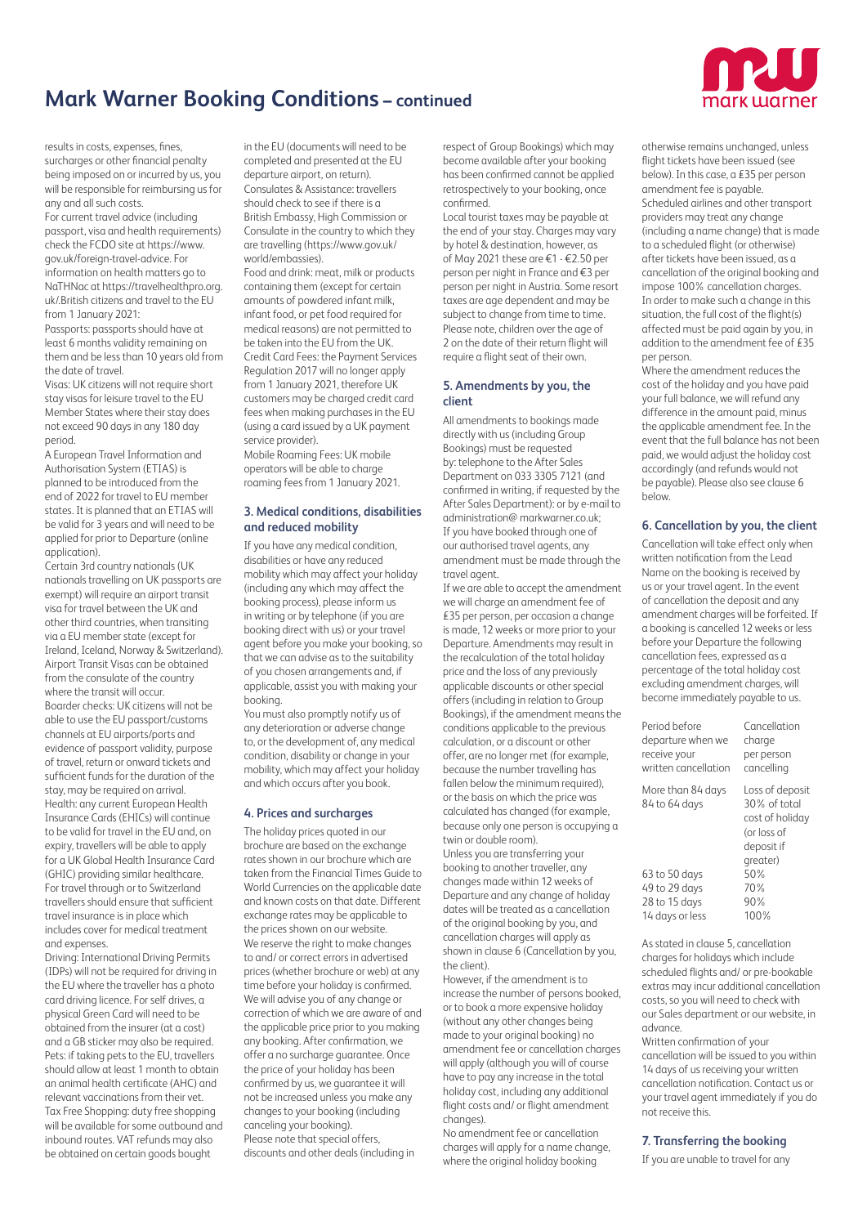

results in costs, expenses, fines, surcharges or other financial penalty being imposed on or incurred by us, you will be responsible for reimbursing us for any and all such costs.

For current travel advice (including passport, visa and health requirements) check the FCDO site at https://www. gov.uk/foreign-travel-advice. For information on health matters go to NaTHNac at https://travelhealthpro.org. uk/.British citizens and travel to the EU from 1 January 2021:

Passports: passports should have at least 6 months validity remaining on them and be less than 10 years old from the date of travel.

Visas: UK citizens will not require short stay visas for leisure travel to the EU Member States where their stay does not exceed 90 days in any 180 day period.

A European Travel Information and Authorisation System (ETIAS) is planned to be introduced from the end of 2022 for travel to EU member states. It is planned that an ETIAS will be valid for 3 years and will need to be applied for prior to Departure (online application).

Certain 3rd country nationals (UK nationals travelling on UK passports are exempt) will require an airport transit visa for travel between the UK and other third countries, when transiting via a EU member state (except for Ireland, Iceland, Norway & Switzerland). Airport Transit Visas can be obtained from the consulate of the country where the transit will occur. Boarder checks: UK citizens will not be able to use the EU passport/customs channels at EU airports/ports and evidence of passport validity, purpose of travel, return or onward tickets and sufficient funds for the duration of the stay, may be required on arrival. Health: any current European Health Insurance Cards (EHICs) will continue to be valid for travel in the EU and, on expiry, travellers will be able to apply for a UK Global Health Insurance Card (GHIC) providing similar healthcare. For travel through or to Switzerland travellers should ensure that sufficient travel insurance is in place which includes cover for medical treatment and expenses.

Driving: International Driving Permits (IDPs) will not be required for driving in the EU where the traveller has a photo card driving licence. For self drives, a physical Green Card will need to be obtained from the insurer (at a cost) and a GB sticker may also be required. Pets: if taking pets to the EU, travellers should allow at least 1 month to obtain an animal health certificate (AHC) and relevant vaccinations from their vet. Tax Free Shopping: duty free shopping will be available for some outbound and inbound routes. VAT refunds may also be obtained on certain goods bought

in the EU (documents will need to be completed and presented at the EU departure airport, on return). Consulates & Assistance: travellers should check to see if there is a British Embassy, High Commission or Consulate in the country to which they are travelling (https://www.gov.uk/ world/embassies).

Food and drink: meat, milk or products containing them (except for certain amounts of powdered infant milk, infant food, or pet food required for medical reasons) are not permitted to be taken into the EU from the UK. Credit Card Fees: the Payment Services Regulation 2017 will no longer apply from 1 January 2021, therefore UK customers may be charged credit card fees when making purchases in the EU (using a card issued by a UK payment service provider).

Mobile Roaming Fees: UK mobile operators will be able to charge roaming fees from 1 January 2021.

# **3. Medical conditions, disabilities and reduced mobility**

If you have any medical condition, disabilities or have any reduced mobility which may affect your holiday (including any which may affect the booking process), please inform us in writing or by telephone (if you are booking direct with us) or your travel agent before you make your booking, so that we can advise as to the suitability of you chosen arrangements and, if applicable, assist you with making your booking.

You must also promptly notify us of any deterioration or adverse change to, or the development of, any medical condition, disability or change in your mobility, which may affect your holiday and which occurs after you book.

# **4. Prices and surcharges**

The holiday prices quoted in our brochure are based on the exchange rates shown in our brochure which are taken from the Financial Times Guide to World Currencies on the applicable date and known costs on that date. Different exchange rates may be applicable to the prices shown on our website. We reserve the right to make changes to and/ or correct errors in advertised prices (whether brochure or web) at any time before your holiday is confirmed. We will advise you of any change or correction of which we are aware of and the applicable price prior to you making any booking. After confirmation, we offer a no surcharge guarantee. Once the price of your holiday has been confirmed by us, we guarantee it will not be increased unless you make any changes to your booking (including canceling your booking). Please note that special offers, discounts and other deals (including in

respect of Group Bookings) which may become available after your booking has been confirmed cannot be applied retrospectively to your booking, once confirmed.

Local tourist taxes may be payable at the end of your stay. Charges may vary by hotel & destination, however, as of May 2021 these are €1 - €2.50 per person per night in France and €3 per person per night in Austria. Some resort taxes are age dependent and may be subject to change from time to time. Please note, children over the age of 2 on the date of their return flight will require a flight seat of their own.

#### **5. Amendments by you, the client**

All amendments to bookings made directly with us (including Group Bookings) must be requested by: telephone to the After Sales Department on 033 3305 7121 (and confirmed in writing, if requested by the After Sales Department): or by e-mail to administration@ markwarner.co.uk; If you have booked through one of our authorised travel agents, any amendment must be made through the travel agent.

If we are able to accept the amendment we will charge an amendment fee of £35 per person, per occasion a change is made, 12 weeks or more prior to your Departure. Amendments may result in the recalculation of the total holiday price and the loss of any previously applicable discounts or other special offers (including in relation to Group Bookings), if the amendment means the conditions applicable to the previous calculation, or a discount or other offer, are no longer met (for example, because the number travelling has fallen below the minimum required), or the basis on which the price was calculated has changed (for example, because only one person is occupying a twin or double room).

Unless you are transferring your booking to another traveller, any changes made within 12 weeks of Departure and any change of holiday dates will be treated as a cancellation of the original booking by you, and cancellation charges will apply as shown in clause 6 (Cancellation by you, the client).

However, if the amendment is to increase the number of persons booked, or to book a more expensive holiday (without any other changes being made to your original booking) no amendment fee or cancellation charges will apply (although you will of course have to pay any increase in the total holiday cost, including any additional flight costs and/ or flight amendment changes).

No amendment fee or cancellation charges will apply for a name change, where the original holiday booking

otherwise remains unchanged, unless flight tickets have been issued (see below). In this case, a £35 per person amendment fee is payable. Scheduled airlines and other transport providers may treat any change (including a name change) that is made to a scheduled flight (or otherwise) after tickets have been issued, as a cancellation of the original booking and impose 100% cancellation charges. In order to make such a change in this situation, the full cost of the flight(s) affected must be paid again by you, in addition to the amendment fee of £35 per person.

Where the amendment reduces the cost of the holiday and you have paid your full balance, we will refund any difference in the amount paid, minus the applicable amendment fee. In the event that the full balance has not been paid, we would adjust the holiday cost accordingly (and refunds would not be payable). Please also see clause 6 below.

### **6. Cancellation by you, the client**

Cancellation will take effect only when written notification from the Lead Name on the booking is received by us or your travel agent. In the event of cancellation the deposit and any amendment charges will be forfeited. If a booking is cancelled 12 weeks or less before your Departure the following cancellation fees, expressed as a percentage of the total holiday cost excluding amendment charges, will become immediately payable to us.

| Period before                      | Cancellation                                                                                |
|------------------------------------|---------------------------------------------------------------------------------------------|
| departure when we                  | charge                                                                                      |
| receive your                       | per person                                                                                  |
| written cancellation               | cancelling                                                                                  |
| More than 84 days<br>84 to 64 days | Loss of deposit<br>30% of total<br>cost of holiday<br>(or loss of<br>deposit if<br>greater) |
| 63 to 50 days                      | 50%                                                                                         |
| 49 to 29 days                      | 70%                                                                                         |
| 28 to 15 days                      | 90%                                                                                         |
| 14 days or less                    | 100%                                                                                        |

As stated in clause 5, cancellation charges for holidays which include scheduled flights and/ or pre-bookable extras may incur additional cancellation costs, so you will need to check with our Sales department or our website, in advance.

Written confirmation of your cancellation will be issued to you within 14 days of us receiving your written cancellation notification. Contact us or your travel agent immediately if you do not receive this.

#### **7. Transferring the booking**

If you are unable to travel for any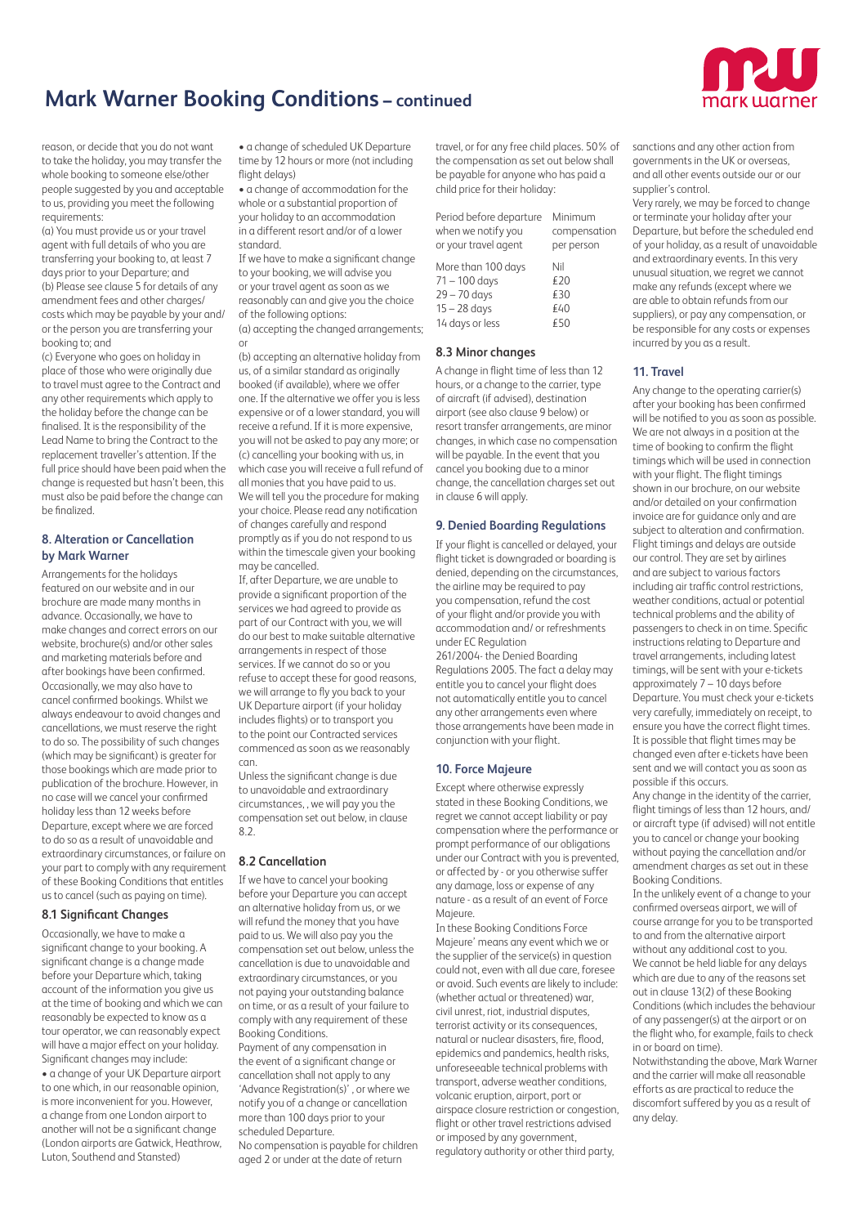

reason, or decide that you do not want to take the holiday, you may transfer the whole booking to someone else/other people suggested by you and acceptable to us, providing you meet the following requirements:

(a) You must provide us or your travel agent with full details of who you are transferring your booking to, at least 7 days prior to your Departure; and (b) Please see clause 5 for details of any amendment fees and other charges/ costs which may be payable by your and/ or the person you are transferring your booking to; and

(c) Everyone who goes on holiday in place of those who were originally due to travel must agree to the Contract and any other requirements which apply to the holiday before the change can be finalised. It is the responsibility of the Lead Name to bring the Contract to the replacement traveller's attention. If the full price should have been paid when the change is requested but hasn't been, this must also be paid before the change can be finalized.

# **8. Alteration or Cancellation by Mark Warner**

Arrangements for the holidays featured on our website and in our brochure are made many months in advance. Occasionally, we have to make changes and correct errors on our website, brochure(s) and/or other sales and marketing materials before and after bookings have been confirmed. Occasionally, we may also have to cancel confirmed bookings. Whilst we always endeavour to avoid changes and cancellations, we must reserve the right to do so. The possibility of such changes (which may be significant) is greater for those bookings which are made prior to publication of the brochure. However, in no case will we cancel your confirmed holiday less than 12 weeks before Departure, except where we are forced to do so as a result of unavoidable and extraordinary circumstances, or failure on your part to comply with any requirement of these Booking Conditions that entitles us to cancel (such as paying on time).

#### **8.1 Significant Changes**

Occasionally, we have to make a significant change to your booking. A significant change is a change made before your Departure which, taking account of the information you give us at the time of booking and which we can reasonably be expected to know as a tour operator, we can reasonably expect will have a major effect on your holiday. Significant changes may include: • a change of your UK Departure airport to one which, in our reasonable opinion, is more inconvenient for you. However, a change from one London airport to another will not be a significant change (London airports are Gatwick, Heathrow, Luton, Southend and Stansted)

• a change of scheduled UK Departure time by 12 hours or more (not including flight delays)

• a change of accommodation for the whole or a substantial proportion of your holiday to an accommodation in a different resort and/or of a lower standard.

If we have to make a significant change to your booking, we will advise you or your travel agent as soon as we reasonably can and give you the choice of the following options: (a) accepting the changed arrangements;

or

(b) accepting an alternative holiday from us, of a similar standard as originally booked (if available), where we offer one. If the alternative we offer you is less expensive or of a lower standard, you will receive a refund. If it is more expensive, you will not be asked to pay any more; or (c) cancelling your booking with us, in which case you will receive a full refund of all monies that you have paid to us. We will tell you the procedure for making your choice. Please read any notification of changes carefully and respond promptly as if you do not respond to us within the timescale given your booking may be cancelled.

If, after Departure, we are unable to provide a significant proportion of the services we had agreed to provide as part of our Contract with you, we will do our best to make suitable alternative arrangements in respect of those services. If we cannot do so or you refuse to accept these for good reasons, we will arrange to fly you back to your UK Departure airport (if your holiday includes flights) or to transport you to the point our Contracted services commenced as soon as we reasonably can.

Unless the significant change is due to unavoidable and extraordinary circumstances, , we will pay you the compensation set out below, in clause  $8.2$ 

# **8.2 Cancellation**

If we have to cancel your booking before your Departure you can accept an alternative holiday from us, or we will refund the money that you have paid to us. We will also pay you the compensation set out below, unless the cancellation is due to unavoidable and extraordinary circumstances, or you not paying your outstanding balance on time, or as a result of your failure to comply with any requirement of these Booking Conditions.

Payment of any compensation in the event of a significant change or cancellation shall not apply to any 'Advance Registration(s)' , or where we notify you of a change or cancellation more than 100 days prior to your scheduled Departure.

No compensation is payable for children aged 2 or under at the date of return

travel, or for any free child places. 50% of the compensation as set out below shall be payable for anyone who has paid a child price for their holiday:

| Period before departure | Minimum      |
|-------------------------|--------------|
| when we notify you      | compensation |
| or your travel agent    | per person   |
| More than 100 days      | Nil          |
| $71 - 100$ days         | £20          |
| $29 - 70$ days          | €30          |
| $15 - 28$ days          | £40          |
| 14 days or less         | €50          |

### **8.3 Minor changes**

A change in flight time of less than 12 hours, or a change to the carrier, type of aircraft (if advised), destination airport (see also clause 9 below) or resort transfer arrangements, are minor changes, in which case no compensation will be payable. In the event that you cancel you booking due to a minor change, the cancellation charges set out in clause 6 will apply.

### **9. Denied Boarding Regulations**

If your flight is cancelled or delayed, your flight ticket is downgraded or boarding is denied, depending on the circumstances, the airline may be required to pay you compensation, refund the cost of your flight and/or provide you with accommodation and/ or refreshments under EC Regulation

261/2004- the Denied Boarding Regulations 2005. The fact a delay may entitle you to cancel your flight does not automatically entitle you to cancel any other arrangements even where those arrangements have been made in conjunction with your flight.

# **10. Force Majeure**

Except where otherwise expressly stated in these Booking Conditions, we regret we cannot accept liability or pay compensation where the performance or prompt performance of our obligations under our Contract with you is prevented, or affected by - or you otherwise suffer any damage, loss or expense of any nature - as a result of an event of Force Majeure.

In these Booking Conditions Force Majeure' means any event which we or the supplier of the service(s) in question could not, even with all due care, foresee or avoid. Such events are likely to include: (whether actual or threatened) war, civil unrest, riot, industrial disputes, terrorist activity or its consequences, natural or nuclear disasters, fire, flood, epidemics and pandemics, health risks, unforeseeable technical problems with transport, adverse weather conditions volcanic eruption, airport, port or airspace closure restriction or congestion, flight or other travel restrictions advised or imposed by any government,

regulatory authority or other third party,

sanctions and any other action from governments in the UK or overseas, and all other events outside our or our supplier's control.

Very rarely, we may be forced to change or terminate your holiday after your Departure, but before the scheduled end of your holiday, as a result of unavoidable and extraordinary events. In this very unusual situation, we regret we cannot make any refunds (except where we are able to obtain refunds from our suppliers), or pay any compensation, or be responsible for any costs or expenses incurred by you as a result.

# **11. Travel**

Any change to the operating carrier(s) after your booking has been confirmed will be notified to you as soon as possible. We are not always in a position at the time of booking to confirm the flight timings which will be used in connection with your flight. The flight timings shown in our brochure, on our website and/or detailed on your confirmation invoice are for guidance only and are subject to alteration and confirmation. Flight timings and delays are outside our control. They are set by airlines and are subject to various factors including air traffic control restrictions, weather conditions, actual or potential technical problems and the ability of passengers to check in on time. Specific instructions relating to Departure and travel arrangements, including latest timings, will be sent with your e-tickets approximately 7 – 10 days before Departure. You must check your e-tickets very carefully, immediately on receipt, to ensure you have the correct flight times. It is possible that flight times may be changed even after e-tickets have been sent and we will contact you as soon as possible if this occurs.

Any change in the identity of the carrier, flight timings of less than 12 hours, and/ or aircraft type (if advised) will not entitle you to cancel or change your booking without paying the cancellation and/or amendment charges as set out in these Booking Conditions.

In the unlikely event of a change to your confirmed overseas airport, we will of course arrange for you to be transported to and from the alternative airport without any additional cost to you. We cannot be held liable for any delays which are due to any of the reasons set out in clause 13(2) of these Booking Conditions (which includes the behaviour of any passenger(s) at the airport or on the flight who, for example, fails to check in or board on time).

Notwithstanding the above, Mark Warner and the carrier will make all reasonable efforts as are practical to reduce the discomfort suffered by you as a result of any delay.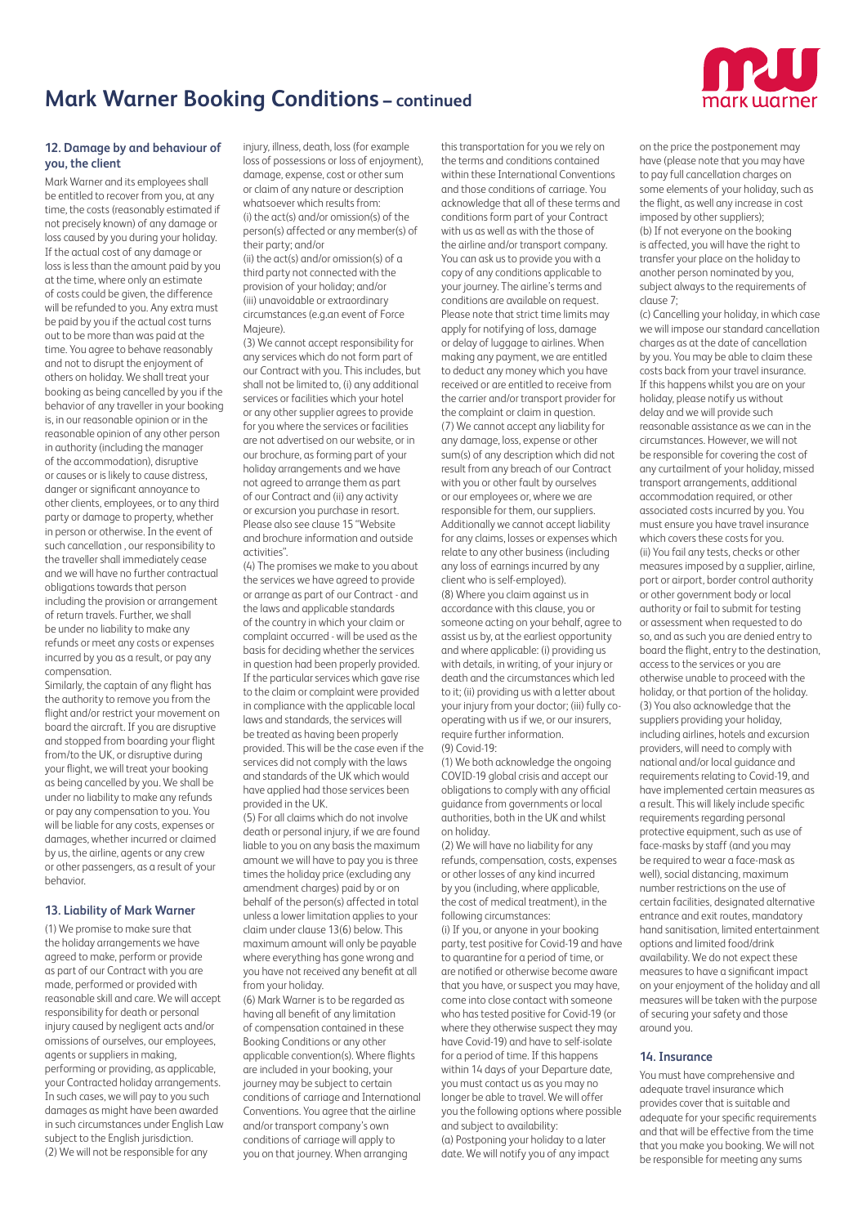

# **12. Damage by and behaviour of you, the client**

Mark Warner and its employees shall be entitled to recover from you, at any time, the costs (reasonably estimated if not precisely known) of any damage or loss caused by you during your holiday. If the actual cost of any damage or loss is less than the amount paid by you at the time, where only an estimate of costs could be given, the difference will be refunded to you. Any extra must be paid by you if the actual cost turns out to be more than was paid at the time. You agree to behave reasonably and not to disrupt the enjoyment of others on holiday. We shall treat your booking as being cancelled by you if the behavior of any traveller in your booking is, in our reasonable opinion or in the reasonable opinion of any other person in authority (including the manager of the accommodation), disruptive or causes or is likely to cause distress, danger or significant annoyance to other clients, employees, or to any third party or damage to property, whether in person or otherwise. In the event of such cancellation , our responsibility to the traveller shall immediately cease and we will have no further contractual obligations towards that person including the provision or arrangement of return travels. Further, we shall be under no liability to make any refunds or meet any costs or expenses incurred by you as a result, or pay any compensation.

Similarly, the captain of any flight has the authority to remove you from the flight and/or restrict your movement on board the aircraft. If you are disruptive and stopped from boarding your flight from/to the UK, or disruptive during your flight, we will treat your booking as being cancelled by you. We shall be under no liability to make any refunds or pay any compensation to you. You will be liable for any costs, expenses or damages, whether incurred or claimed by us, the airline, agents or any crew or other passengers, as a result of your behavior.

#### **13. Liability of Mark Warner**

(1) We promise to make sure that the holiday arrangements we have agreed to make, perform or provide as part of our Contract with you are made, performed or provided with reasonable skill and care. We will accept responsibility for death or personal injury caused by negligent acts and/or omissions of ourselves, our employees, agents or suppliers in making, performing or providing, as applicable, your Contracted holiday arrangements. In such cases, we will pay to you such damages as might have been awarded in such circumstances under English Law subject to the English jurisdiction. (2) We will not be responsible for any

injury, illness, death, loss (for example loss of possessions or loss of enjoyment), damage, expense, cost or other sum or claim of any nature or description whatsoever which results from: (i) the act(s) and/or omission(s) of the person(s) affected or any member(s) of their party; and/or

(ii) the act(s) and/or omission(s) of a third party not connected with the provision of your holiday; and/or (iii) unavoidable or extraordinary circumstances (e.g.an event of Force Majeure).

(3) We cannot accept responsibility for any services which do not form part of our Contract with you. This includes, but shall not be limited to, (i) any additional services or facilities which your hotel or any other supplier agrees to provide for you where the services or facilities are not advertised on our website, or in our brochure, as forming part of your holiday arrangements and we have not agreed to arrange them as part of our Contract and (ii) any activity or excursion you purchase in resort. Please also see clause 15 "Website and brochure information and outside activities".

(4) The promises we make to you about the services we have agreed to provide or arrange as part of our Contract - and the laws and applicable standards of the country in which your claim or complaint occurred - will be used as the basis for deciding whether the services in question had been properly provided. If the particular services which gave rise to the claim or complaint were provided in compliance with the applicable local laws and standards, the services will be treated as having been properly provided. This will be the case even if the services did not comply with the laws and standards of the UK which would have applied had those services been provided in the UK.

(5) For all claims which do not involve death or personal injury, if we are found liable to you on any basis the maximum amount we will have to pay you is three times the holiday price (excluding any amendment charges) paid by or on behalf of the person(s) affected in total unless a lower limitation applies to your claim under clause 13(6) below. This maximum amount will only be payable where everything has gone wrong and you have not received any benefit at all from your holiday.

(6) Mark Warner is to be regarded as having all benefit of any limitation of compensation contained in these Booking Conditions or any other applicable convention(s). Where flights are included in your booking, your journey may be subject to certain conditions of carriage and International Conventions. You agree that the airline and/or transport company's own conditions of carriage will apply to you on that journey. When arranging

this transportation for you we rely on the terms and conditions contained within these International Conventions and those conditions of carriage. You acknowledge that all of these terms and conditions form part of your Contract with us as well as with the those of the airline and/or transport company. You can ask us to provide you with a copy of any conditions applicable to your journey. The airline's terms and conditions are available on request. Please note that strict time limits may apply for notifying of loss, damage or delay of luggage to airlines. When making any payment, we are entitled to deduct any money which you have received or are entitled to receive from the carrier and/or transport provider for the complaint or claim in question. (7) We cannot accept any liability for any damage, loss, expense or other sum(s) of any description which did not result from any breach of our Contract with you or other fault by ourselves or our employees or, where we are responsible for them, our suppliers. Additionally we cannot accept liability for any claims, losses or expenses which relate to any other business (including any loss of earnings incurred by any client who is self-employed). (8) Where you claim against us in accordance with this clause, you or someone acting on your behalf, agree to assist us by, at the earliest opportunity and where applicable: (i) providing us with details, in writing, of your injury or death and the circumstances which led to it; (ii) providing us with a letter about your injury from your doctor; (iii) fully cooperating with us if we, or our insurers, require further information. (9) Covid-19:

(1) We both acknowledge the ongoing COVID-19 global crisis and accept our obligations to comply with any official guidance from governments or local authorities, both in the UK and whilst on holiday.

(2) We will have no liability for any refunds, compensation, costs, expenses or other losses of any kind incurred by you (including, where applicable, the cost of medical treatment), in the following circumstances:

(i) If you, or anyone in your booking party, test positive for Covid-19 and have to quarantine for a period of time, or are notified or otherwise become aware that you have, or suspect you may have, come into close contact with someone who has tested positive for Covid-19 (or where they otherwise suspect they may have Covid-19) and have to self-isolate for a period of time. If this happens within 14 days of your Departure date, you must contact us as you may no longer be able to travel. We will offer you the following options where possible and subject to availability: (a) Postponing your holiday to a later date. We will notify you of any impact

on the price the postponement may have (please note that you may have to pay full cancellation charges on some elements of your holiday, such as the flight, as well any increase in cost imposed by other suppliers); (b) If not everyone on the booking is affected, you will have the right to transfer your place on the holiday to another person nominated by you, subject always to the requirements of clause 7;

(c) Cancelling your holiday, in which case we will impose our standard cancellation charges as at the date of cancellation by you. You may be able to claim these costs back from your travel insurance. If this happens whilst you are on your holiday, please notify us without delay and we will provide such reasonable assistance as we can in the circumstances. However, we will not be responsible for covering the cost of any curtailment of your holiday, missed transport arrangements, additional accommodation required, or other associated costs incurred by you. You must ensure you have travel insurance which covers these costs for you. (ii) You fail any tests, checks or other measures imposed by a supplier, airline, port or airport, border control authority or other government body or local authority or fail to submit for testing or assessment when requested to do so, and as such you are denied entry to board the flight, entry to the destination, access to the services or you are otherwise unable to proceed with the holiday, or that portion of the holiday. (3) You also acknowledge that the suppliers providing your holiday, including airlines, hotels and excursion providers, will need to comply with national and/or local guidance and requirements relating to Covid-19, and have implemented certain measures as a result. This will likely include specific requirements regarding personal protective equipment, such as use of face-masks by staff (and you may be required to wear a face-mask as well), social distancing, maximum number restrictions on the use of certain facilities, designated alternative entrance and exit routes, mandatory hand sanitisation, limited entertainment options and limited food/drink availability. We do not expect these measures to have a significant impact on your enjoyment of the holiday and all measures will be taken with the purpose of securing your safety and those around you.

# **14. Insurance**

You must have comprehensive and adequate travel insurance which provides cover that is suitable and adequate for your specific requirements and that will be effective from the time that you make you booking. We will not be responsible for meeting any sums